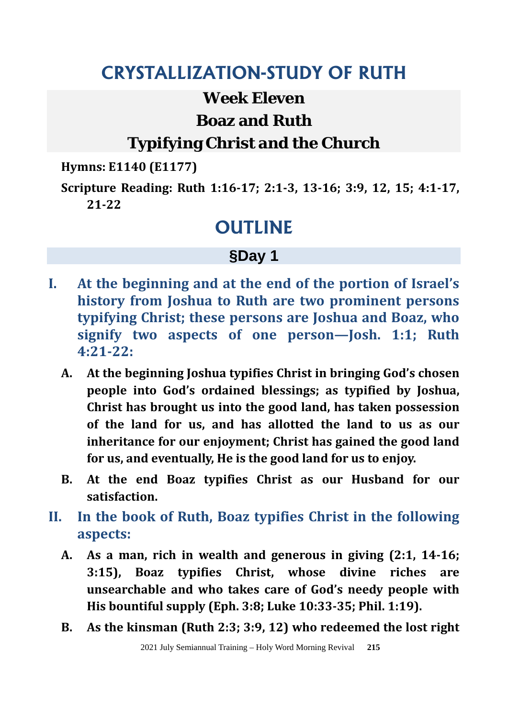### **CRYSTALLIZATION-STUDY OF RUTH**

#### **Week Eleven**

#### **Boaz and Ruth**

### **Typifying Christ and the Church**

**Hymns: E1140 (E1177)** 

**Scripture Reading: Ruth 1:16-17; 2:1-3, 13-16; 3:9, 12, 15; 4:1-17, 21-22** 

### **OUTLINE**

### **§Day 1**

- **I. At the beginning and at the end of the portion of Israel's history from Joshua to Ruth are two prominent persons typifying Christ; these persons are Joshua and Boaz, who signify two aspects of one person—Josh. 1:1; Ruth 4:21-22:**
	- **A. At the beginning Joshua typifies Christ in bringing God's chosen people into God's ordained blessings; as typified by Joshua, Christ has brought us into the good land, has taken possession of the land for us, and has allotted the land to us as our inheritance for our enjoyment; Christ has gained the good land for us, and eventually, He is the good land for us to enjoy.**
	- **B. At the end Boaz typifies Christ as our Husband for our satisfaction.**
- **II. In the book of Ruth, Boaz typifies Christ in the following aspects:**
	- **A. As a man, rich in wealth and generous in giving (2:1, 14-16; 3:15), Boaz typifies Christ, whose divine riches are unsearchable and who takes care of God's needy people with His bountiful supply (Eph. 3:8; Luke 10:33-35; Phil. 1:19).**
	- **B. As the kinsman (Ruth 2:3; 3:9, 12) who redeemed the lost right**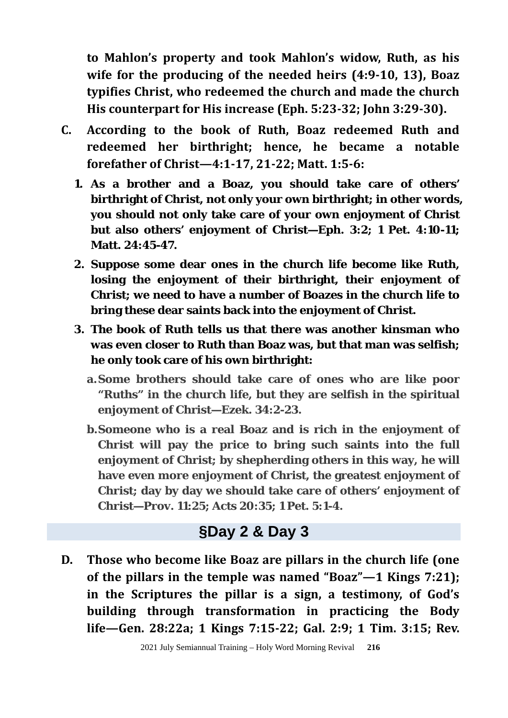**to Mahlon's property and took Mahlon's widow, Ruth, as his wife for the producing of the needed heirs (4:9-10, 13), Boaz typifies Christ, who redeemed the church and made the church His counterpart for His increase (Eph. 5:23-32; John 3:29-30).** 

- **C. According to the book of Ruth, Boaz redeemed Ruth and redeemed her birthright; hence, he became a notable forefather of Christ—4:1-17, 21-22; Matt. 1:5-6:** 
	- **1. As a brother and a Boaz, you should take care of others' birthright of Christ, not only your own birthright; in other words, you should not only take care of your own enjoyment of Christ but also others' enjoyment of Christ—Eph. 3:2; 1 Pet. 4:10-11; Matt. 24:45-47.**
	- **2. Suppose some dear ones in the church life become like Ruth, losing the enjoyment of their birthright, their enjoyment of Christ; we need to have a number of Boazes in the church life to bring these dear saints back into the enjoyment of Christ.**
	- **3. The book of Ruth tells us that there was another kinsman who was even closer to Ruth than Boaz was, but that man was selfish; he only took care of his own birthright:** 
		- **a.Some brothers should take care of ones who are like poor "Ruths" in the church life, but they are selfish in the spiritual enjoyment of Christ—Ezek. 34:2-23.**
		- **b. Someone who is a real Boaz and is rich in the enjoyment of Christ will pay the price to bring such saints into the full enjoyment of Christ; by shepherding others in this way, he will have even more enjoyment of Christ, the greatest enjoyment of Christ; day by day we should take care of others' enjoyment of Christ—Prov. 11:25; Acts 20:35; 1 Pet. 5:1-4.**

#### **§Day 2 & Day 3**

**D. Those who become like Boaz are pillars in the church life (one of the pillars in the temple was named "Boaz"—1 Kings 7:21); in the Scriptures the pillar is a sign, a testimony, of God's building through transformation in practicing the Body life—Gen. 28:22a; 1 Kings 7:15-22; Gal. 2:9; 1 Tim. 3:15; Rev.**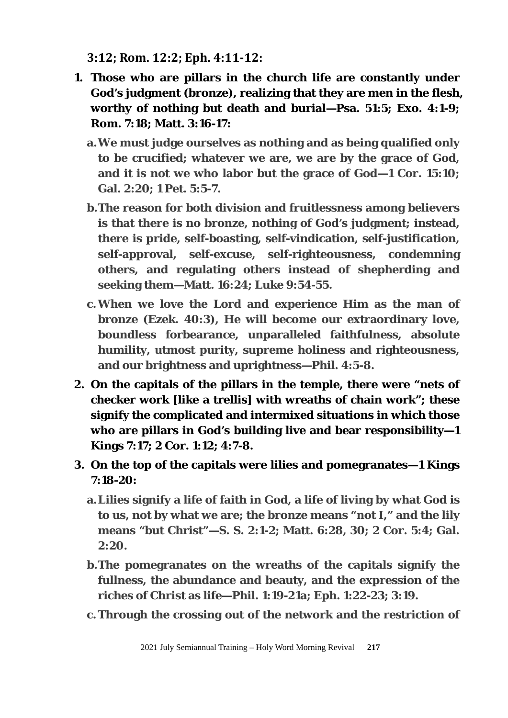**3:12; Rom. 12:2; Eph. 4:11-12:** 

- **1. Those who are pillars in the church life are constantly under God's judgment (bronze), realizing that they are men in the flesh, worthy of nothing but death and burial—Psa. 51:5; Exo. 4:1-9; Rom. 7:18; Matt. 3:16-17:**
	- **a.We must judge ourselves as nothing and as being qualified only to be crucified; whatever we are, we are by the grace of God, and it is not we who labor but the grace of God—1 Cor. 15:10; Gal. 2:20; 1 Pet. 5:5-7.**
	- **b. The reason for both division and fruitlessness among believers is that there is no bronze, nothing of God's judgment; instead, there is pride, self-boasting, self-vindication, self-justification, self-approval, self-excuse, self-righteousness, condemning others, and regulating others instead of shepherding and seeking them—Matt. 16:24; Luke 9:54-55.**
	- **c.When we love the Lord and experience Him as the man of bronze (Ezek. 40:3), He will become our extraordinary love, boundless forbearance, unparalleled faithfulness, absolute humility, utmost purity, supreme holiness and righteousness, and our brightness and uprightness—Phil. 4:5-8.**
- **2. On the capitals of the pillars in the temple, there were "nets of checker work [like a trellis] with wreaths of chain work"; these signify the complicated and intermixed situations in which those who are pillars in God's building live and bear responsibility—1 Kings 7:17; 2 Cor. 1:12; 4:7-8.**
- **3. On the top of the capitals were lilies and pomegranates—1 Kings 7:18-20:**
	- **a.Lilies signify a life of faith in God, a life of living by what God is to us, not by what we are; the bronze means "not I," and the lily means "but Christ"—S. S. 2:1-2; Matt. 6:28, 30; 2 Cor. 5:4; Gal. 2:20.**
	- **b. The pomegranates on the wreaths of the capitals signify the fullness, the abundance and beauty, and the expression of the riches of Christ as life—Phil. 1:19-21a; Eph. 1:22-23; 3:19.**
	- **c.Through the crossing out of the network and the restriction of**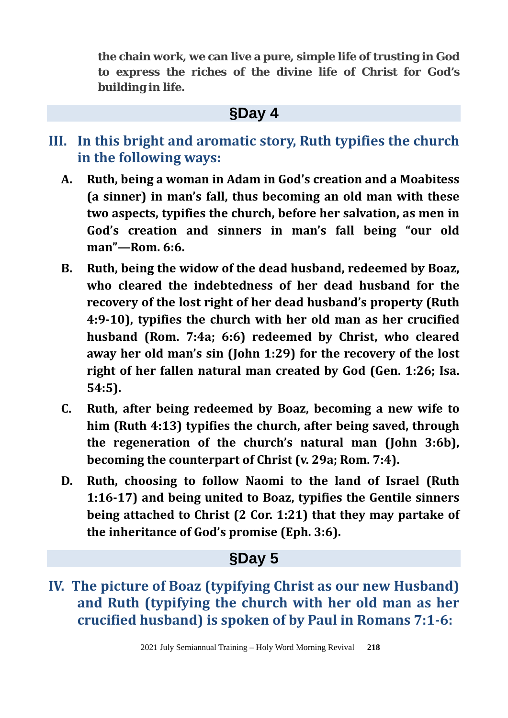**the chain work, we can live a pure, simple life of trusting in God to express the riches of the divine life of Christ for God's building in life.**

#### **§Day 4**

- **III. In this bright and aromatic story, Ruth typifies the church in the following ways:**
	- **A. Ruth, being a woman in Adam in God's creation and a Moabitess (a sinner) in man's fall, thus becoming an old man with these two aspects, typifies the church, before her salvation, as men in God's creation and sinners in man's fall being "our old man"—Rom. 6:6.**
	- **B. Ruth, being the widow of the dead husband, redeemed by Boaz, who cleared the indebtedness of her dead husband for the recovery of the lost right of her dead husband's property (Ruth 4:9-10), typifies the church with her old man as her crucified husband (Rom. 7:4a; 6:6) redeemed by Christ, who cleared away her old man's sin (John 1:29) for the recovery of the lost right of her fallen natural man created by God (Gen. 1:26; Isa. 54:5).**
	- **C. Ruth, after being redeemed by Boaz, becoming a new wife to him (Ruth 4:13) typifies the church, after being saved, through the regeneration of the church's natural man (John 3:6b), becoming the counterpart of Christ (v. 29a; Rom. 7:4).**
	- **D. Ruth, choosing to follow Naomi to the land of Israel (Ruth 1:16-17) and being united to Boaz, typifies the Gentile sinners being attached to Christ (2 Cor. 1:21) that they may partake of the inheritance of God's promise (Eph. 3:6).**

#### **§Day 5**

**IV. The picture of Boaz (typifying Christ as our new Husband) and Ruth (typifying the church with her old man as her crucified husband) is spoken of by Paul in Romans 7:1-6:**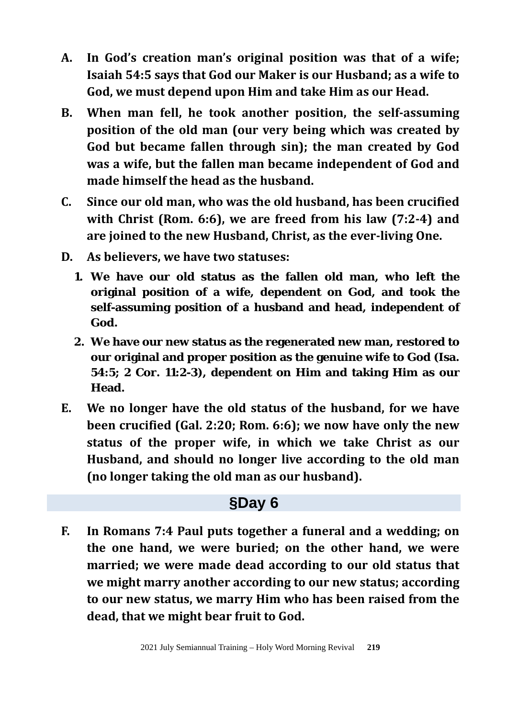- **A. In God's creation man's original position was that of a wife; Isaiah 54:5 says that God our Maker is our Husband; as a wife to God, we must depend upon Him and take Him as our Head.**
- **B. When man fell, he took another position, the self-assuming position of the old man (our very being which was created by God but became fallen through sin); the man created by God was a wife, but the fallen man became independent of God and made himself the head as the husband.**
- **C. Since our old man, who was the old husband, has been crucified with Christ (Rom. 6:6), we are freed from his law (7:2-4) and are joined to the new Husband, Christ, as the ever-living One.**
- **D. As believers, we have two statuses:**
	- **1. We have our old status as the fallen old man, who left the original position of a wife, dependent on God, and took the self-assuming position of a husband and head, independent of God.**
	- **2. We have our new status as the regenerated new man, restored to our original and proper position as the genuine wife to God (Isa. 54:5; 2 Cor. 11:2-3), dependent on Him and taking Him as our Head.**
- **E. We no longer have the old status of the husband, for we have been crucified (Gal. 2:20; Rom. 6:6); we now have only the new status of the proper wife, in which we take Christ as our Husband, and should no longer live according to the old man (no longer taking the old man as our husband).**

### **§Day 6**

**F. In Romans 7:4 Paul puts together a funeral and a wedding; on the one hand, we were buried; on the other hand, we were married; we were made dead according to our old status that we might marry another according to our new status; according to our new status, we marry Him who has been raised from the dead, that we might bear fruit to God.**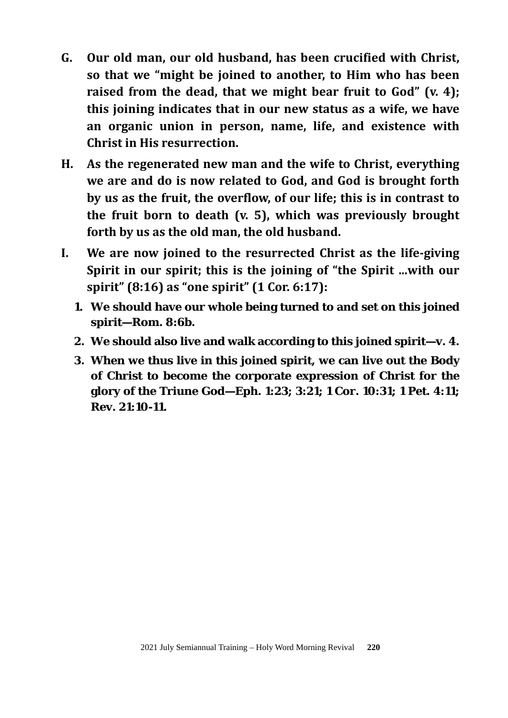- **G. Our old man, our old husband, has been crucified with Christ, so that we "might be joined to another, to Him who has been raised from the dead, that we might bear fruit to God" (v. 4); this joining indicates that in our new status as a wife, we have an organic union in person, name, life, and existence with Christ in His resurrection.**
- **H. As the regenerated new man and the wife to Christ, everything we are and do is now related to God, and God is brought forth by us as the fruit, the overflow, of our life; this is in contrast to the fruit born to death (v. 5), which was previously brought forth by us as the old man, the old husband.**
- **I. We are now joined to the resurrected Christ as the life-giving Spirit in our spirit; this is the joining of "the Spirit ...with our spirit" (8:16) as "one spirit" (1 Cor. 6:17):** 
	- **1. We should have our whole being turned to and set on this joined spirit—Rom. 8:6b.**
	- **2. We should also live and walk according to this joined spirit—v. 4.**
	- **3. When we thus live in this joined spirit, we can live out the Body of Christ to become the corporate expression of Christ for the glory of the Triune God—Eph. 1:23; 3:21; 1 Cor. 10:31; 1 Pet. 4:11; Rev. 21:10-11.**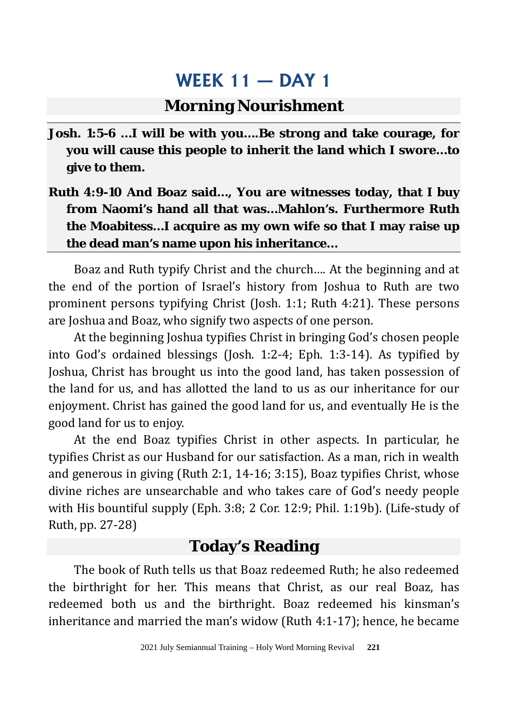#### **Morning Nourishment**

- **Josh. 1:5-6 …I will be with you….Be strong and take courage, for you will cause this people to inherit the land which I swore…to give to them.**
- **Ruth 4:9-10 And Boaz said…, You are witnesses today, that I buy from Naomi's hand all that was…Mahlon's. Furthermore Ruth the Moabitess…I acquire as my own wife so that I may raise up the dead man's name upon his inheritance…**

Boaz and Ruth typify Christ and the church…. At the beginning and at the end of the portion of Israel's history from Joshua to Ruth are two prominent persons typifying Christ (Josh. 1:1; Ruth 4:21). These persons are Joshua and Boaz, who signify two aspects of one person.

At the beginning Joshua typifies Christ in bringing God's chosen people into God's ordained blessings (Josh. 1:2-4; Eph. 1:3-14). As typified by Joshua, Christ has brought us into the good land, has taken possession of the land for us, and has allotted the land to us as our inheritance for our enjoyment. Christ has gained the good land for us, and eventually He is the good land for us to enjoy.

At the end Boaz typifies Christ in other aspects. In particular, he typifies Christ as our Husband for our satisfaction. As a man, rich in wealth and generous in giving (Ruth 2:1, 14-16; 3:15), Boaz typifies Christ, whose divine riches are unsearchable and who takes care of God's needy people with His bountiful supply (Eph. 3:8; 2 Cor. 12:9; Phil. 1:19b). (Life-study of Ruth, pp. 27-28)

#### **Today's Reading**

The book of Ruth tells us that Boaz redeemed Ruth; he also redeemed the birthright for her. This means that Christ, as our real Boaz, has redeemed both us and the birthright. Boaz redeemed his kinsman's inheritance and married the man's widow (Ruth 4:1-17); hence, he became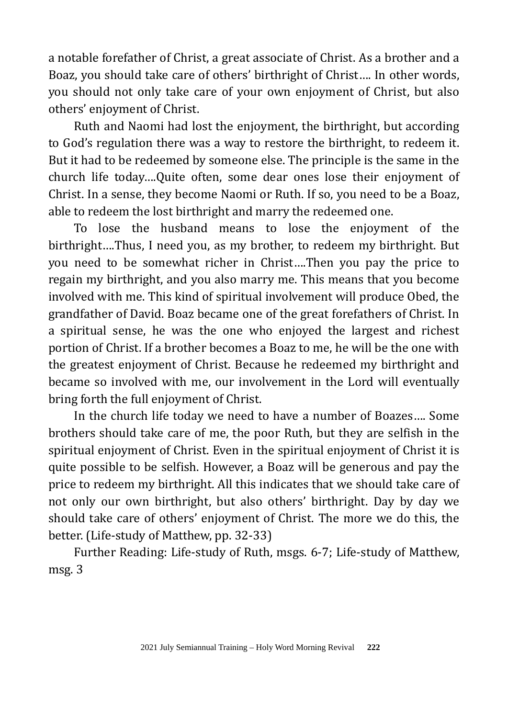a notable forefather of Christ, a great associate of Christ. As a brother and a Boaz, you should take care of others' birthright of Christ…. In other words, you should not only take care of your own enjoyment of Christ, but also others' enjoyment of Christ.

Ruth and Naomi had lost the enjoyment, the birthright, but according to God's regulation there was a way to restore the birthright, to redeem it. But it had to be redeemed by someone else. The principle is the same in the church life today….Quite often, some dear ones lose their enjoyment of Christ. In a sense, they become Naomi or Ruth. If so, you need to be a Boaz, able to redeem the lost birthright and marry the redeemed one.

To lose the husband means to lose the enjoyment of the birthright….Thus, I need you, as my brother, to redeem my birthright. But you need to be somewhat richer in Christ….Then you pay the price to regain my birthright, and you also marry me. This means that you become involved with me. This kind of spiritual involvement will produce Obed, the grandfather of David. Boaz became one of the great forefathers of Christ. In a spiritual sense, he was the one who enjoyed the largest and richest portion of Christ. If a brother becomes a Boaz to me, he will be the one with the greatest enjoyment of Christ. Because he redeemed my birthright and became so involved with me, our involvement in the Lord will eventually bring forth the full enjoyment of Christ.

In the church life today we need to have a number of Boazes…. Some brothers should take care of me, the poor Ruth, but they are selfish in the spiritual enjoyment of Christ. Even in the spiritual enjoyment of Christ it is quite possible to be selfish. However, a Boaz will be generous and pay the price to redeem my birthright. All this indicates that we should take care of not only our own birthright, but also others' birthright. Day by day we should take care of others' enjoyment of Christ. The more we do this, the better. (Life-study of Matthew, pp. 32-33)

Further Reading: Life-study of Ruth, msgs. 6-7; Life-study of Matthew, msg. 3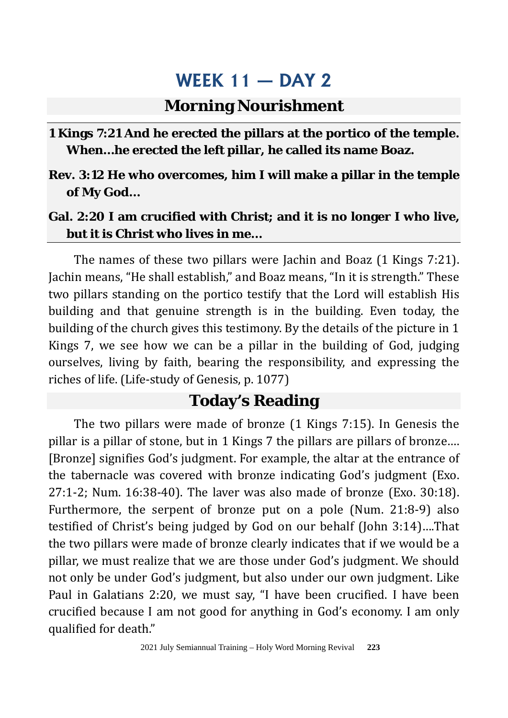#### **Morning Nourishment**

#### **1 Kings 7:21 And he erected the pillars at the portico of the temple. When…he erected the left pillar, he called its name Boaz.**

**Rev. 3:12 He who overcomes, him I will make a pillar in the temple of My God…**

#### **Gal. 2:20 I am crucified with Christ; and it is no longer I who live, but it is Christ who lives in me…**

The names of these two pillars were Jachin and Boaz (1 Kings 7:21). Jachin means, "He shall establish," and Boaz means, "In it is strength." These two pillars standing on the portico testify that the Lord will establish His building and that genuine strength is in the building. Even today, the building of the church gives this testimony. By the details of the picture in 1 Kings 7, we see how we can be a pillar in the building of God, judging ourselves, living by faith, bearing the responsibility, and expressing the riches of life. (Life-study of Genesis, p. 1077)

### **Today's Reading**

The two pillars were made of bronze (1 Kings 7:15). In Genesis the pillar is a pillar of stone, but in 1 Kings 7 the pillars are pillars of bronze…. [Bronze] signifies God's judgment. For example, the altar at the entrance of the tabernacle was covered with bronze indicating God's judgment (Exo. 27:1-2; Num. 16:38-40). The laver was also made of bronze (Exo. 30:18). Furthermore, the serpent of bronze put on a pole (Num. 21:8-9) also testified of Christ's being judged by God on our behalf (John 3:14)….That the two pillars were made of bronze clearly indicates that if we would be a pillar, we must realize that we are those under God's judgment. We should not only be under God's judgment, but also under our own judgment. Like Paul in Galatians 2:20, we must say, "I have been crucified. I have been crucified because I am not good for anything in God's economy. I am only qualified for death."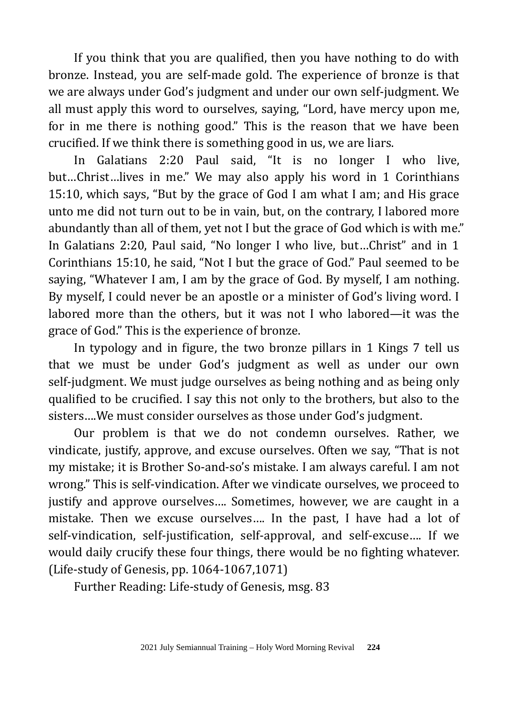If you think that you are qualified, then you have nothing to do with bronze. Instead, you are self-made gold. The experience of bronze is that we are always under God's judgment and under our own self-judgment. We all must apply this word to ourselves, saying, "Lord, have mercy upon me, for in me there is nothing good." This is the reason that we have been crucified. If we think there is something good in us, we are liars.

In Galatians 2:20 Paul said, "It is no longer I who live, but…Christ…lives in me." We may also apply his word in 1 Corinthians 15:10, which says, "But by the grace of God I am what I am; and His grace unto me did not turn out to be in vain, but, on the contrary, I labored more abundantly than all of them, yet not I but the grace of God which is with me." In Galatians 2:20, Paul said, "No longer I who live, but…Christ" and in 1 Corinthians 15:10, he said, "Not I but the grace of God." Paul seemed to be saying, "Whatever I am, I am by the grace of God. By myself, I am nothing. By myself, I could never be an apostle or a minister of God's living word. I labored more than the others, but it was not I who labored—it was the grace of God." This is the experience of bronze.

In typology and in figure, the two bronze pillars in 1 Kings 7 tell us that we must be under God's judgment as well as under our own self-judgment. We must judge ourselves as being nothing and as being only qualified to be crucified. I say this not only to the brothers, but also to the sisters….We must consider ourselves as those under God's judgment.

Our problem is that we do not condemn ourselves. Rather, we vindicate, justify, approve, and excuse ourselves. Often we say, "That is not my mistake; it is Brother So-and-so's mistake. I am always careful. I am not wrong." This is self-vindication. After we vindicate ourselves, we proceed to justify and approve ourselves…. Sometimes, however, we are caught in a mistake. Then we excuse ourselves…. In the past, I have had a lot of self-vindication, self-justification, self-approval, and self-excuse…. If we would daily crucify these four things, there would be no fighting whatever. (Life-study of Genesis, pp. 1064-1067,1071)

Further Reading: Life-study of Genesis, msg. 83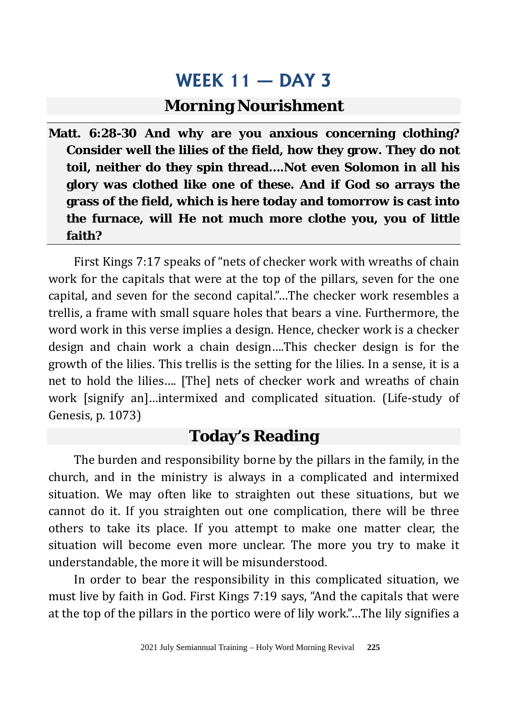#### **Morning Nourishment**

**Matt. 6:28-30 And why are you anxious concerning clothing? Consider well the lilies of the field, how they grow. They do not toil, neither do they spin thread….Not even Solomon in all his glory was clothed like one of these. And if God so arrays the grass of the field, which is here today and tomorrow is cast into the furnace, will He not much more clothe you, you of little faith?**

First Kings 7:17 speaks of "nets of checker work with wreaths of chain work for the capitals that were at the top of the pillars, seven for the one capital, and seven for the second capital."…The checker work resembles a trellis, a frame with small square holes that bears a vine. Furthermore, the word work in this verse implies a design. Hence, checker work is a checker design and chain work a chain design….This checker design is for the growth of the lilies. This trellis is the setting for the lilies. In a sense, it is a net to hold the lilies…. [The] nets of checker work and wreaths of chain work [signify an]…intermixed and complicated situation. (Life-study of Genesis, p. 1073)

#### **Today's Reading**

The burden and responsibility borne by the pillars in the family, in the church, and in the ministry is always in a complicated and intermixed situation. We may often like to straighten out these situations, but we cannot do it. If you straighten out one complication, there will be three others to take its place. If you attempt to make one matter clear, the situation will become even more unclear. The more you try to make it understandable, the more it will be misunderstood.

In order to bear the responsibility in this complicated situation, we must live by faith in God. First Kings 7:19 says, "And the capitals that were at the top of the pillars in the portico were of lily work."…The lily signifies a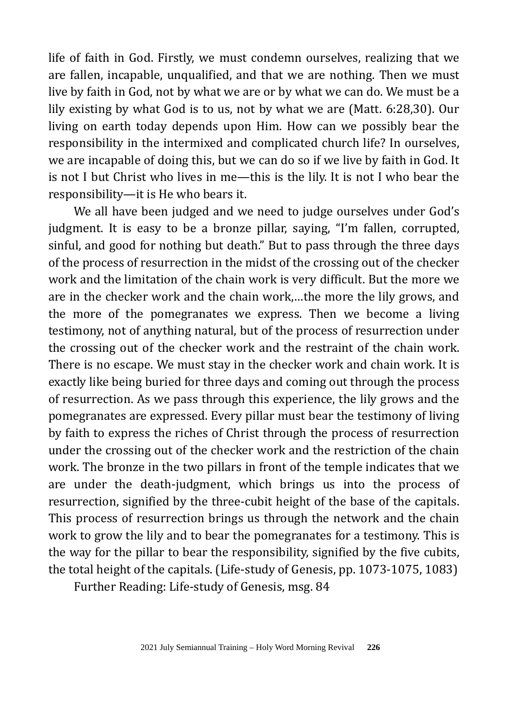life of faith in God. Firstly, we must condemn ourselves, realizing that we are fallen, incapable, unqualified, and that we are nothing. Then we must live by faith in God, not by what we are or by what we can do. We must be a lily existing by what God is to us, not by what we are (Matt. 6:28,30). Our living on earth today depends upon Him. How can we possibly bear the responsibility in the intermixed and complicated church life? In ourselves, we are incapable of doing this, but we can do so if we live by faith in God. It is not I but Christ who lives in me—this is the lily. It is not I who bear the responsibility—it is He who bears it.

We all have been judged and we need to judge ourselves under God's judgment. It is easy to be a bronze pillar, saying, "I'm fallen, corrupted, sinful, and good for nothing but death." But to pass through the three days of the process of resurrection in the midst of the crossing out of the checker work and the limitation of the chain work is very difficult. But the more we are in the checker work and the chain work,…the more the lily grows, and the more of the pomegranates we express. Then we become a living testimony, not of anything natural, but of the process of resurrection under the crossing out of the checker work and the restraint of the chain work. There is no escape. We must stay in the checker work and chain work. It is exactly like being buried for three days and coming out through the process of resurrection. As we pass through this experience, the lily grows and the pomegranates are expressed. Every pillar must bear the testimony of living by faith to express the riches of Christ through the process of resurrection under the crossing out of the checker work and the restriction of the chain work. The bronze in the two pillars in front of the temple indicates that we are under the death-judgment, which brings us into the process of resurrection, signified by the three-cubit height of the base of the capitals. This process of resurrection brings us through the network and the chain work to grow the lily and to bear the pomegranates for a testimony. This is the way for the pillar to bear the responsibility, signified by the five cubits, the total height of the capitals. (Life-study of Genesis, pp. 1073-1075, 1083)

Further Reading: Life-study of Genesis, msg. 84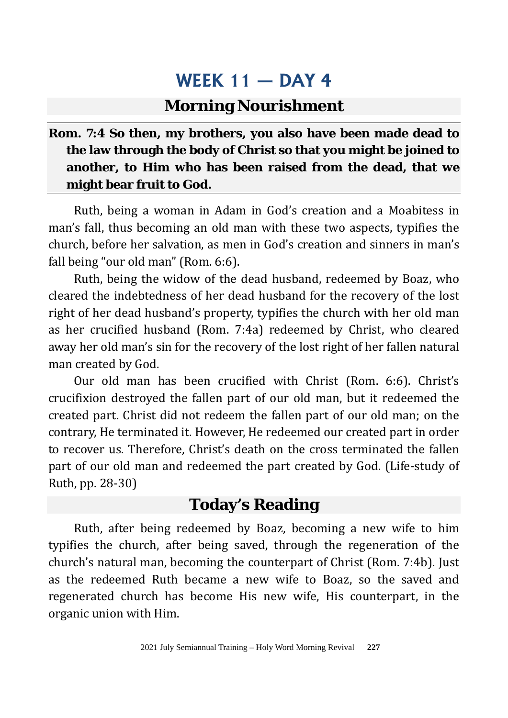#### **Morning Nourishment**

#### **Rom. 7:4 So then, my brothers, you also have been made dead to the law through the body of Christ so that you might be joined to another, to Him who has been raised from the dead, that we might bear fruit to God.**

Ruth, being a woman in Adam in God's creation and a Moabitess in man's fall, thus becoming an old man with these two aspects, typifies the church, before her salvation, as men in God's creation and sinners in man's fall being "our old man" (Rom. 6:6).

Ruth, being the widow of the dead husband, redeemed by Boaz, who cleared the indebtedness of her dead husband for the recovery of the lost right of her dead husband's property, typifies the church with her old man as her crucified husband (Rom. 7:4a) redeemed by Christ, who cleared away her old man's sin for the recovery of the lost right of her fallen natural man created by God.

Our old man has been crucified with Christ (Rom. 6:6). Christ's crucifixion destroyed the fallen part of our old man, but it redeemed the created part. Christ did not redeem the fallen part of our old man; on the contrary, He terminated it. However, He redeemed our created part in order to recover us. Therefore, Christ's death on the cross terminated the fallen part of our old man and redeemed the part created by God. (Life-study of Ruth, pp. 28-30)

### **Today's Reading**

Ruth, after being redeemed by Boaz, becoming a new wife to him typifies the church, after being saved, through the regeneration of the church's natural man, becoming the counterpart of Christ (Rom. 7:4b). Just as the redeemed Ruth became a new wife to Boaz, so the saved and regenerated church has become His new wife, His counterpart, in the organic union with Him.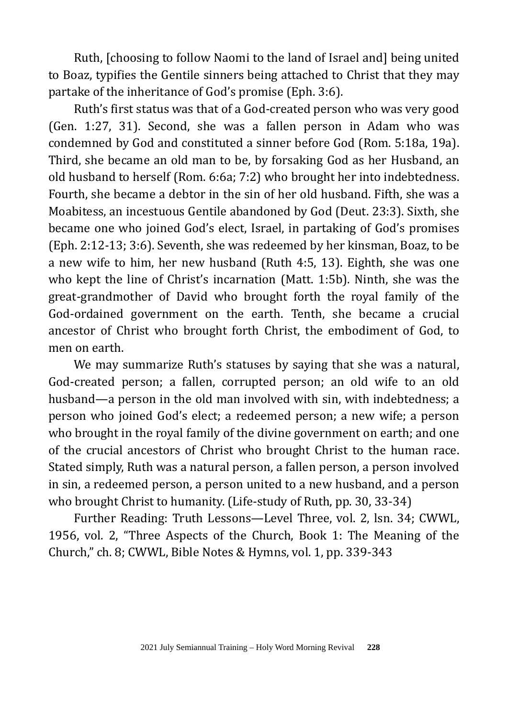Ruth, [choosing to follow Naomi to the land of Israel and] being united to Boaz, typifies the Gentile sinners being attached to Christ that they may partake of the inheritance of God's promise (Eph. 3:6).

Ruth's first status was that of a God-created person who was very good (Gen. 1:27, 31). Second, she was a fallen person in Adam who was condemned by God and constituted a sinner before God (Rom. 5:18a, 19a). Third, she became an old man to be, by forsaking God as her Husband, an old husband to herself (Rom. 6:6a; 7:2) who brought her into indebtedness. Fourth, she became a debtor in the sin of her old husband. Fifth, she was a Moabitess, an incestuous Gentile abandoned by God (Deut. 23:3). Sixth, she became one who joined God's elect, Israel, in partaking of God's promises (Eph. 2:12-13; 3:6). Seventh, she was redeemed by her kinsman, Boaz, to be a new wife to him, her new husband (Ruth 4:5, 13). Eighth, she was one who kept the line of Christ's incarnation (Matt. 1:5b). Ninth, she was the great-grandmother of David who brought forth the royal family of the God-ordained government on the earth. Tenth, she became a crucial ancestor of Christ who brought forth Christ, the embodiment of God, to men on earth.

We may summarize Ruth's statuses by saying that she was a natural, God-created person; a fallen, corrupted person; an old wife to an old husband—a person in the old man involved with sin, with indebtedness; a person who joined God's elect; a redeemed person; a new wife; a person who brought in the royal family of the divine government on earth; and one of the crucial ancestors of Christ who brought Christ to the human race. Stated simply, Ruth was a natural person, a fallen person, a person involved in sin, a redeemed person, a person united to a new husband, and a person who brought Christ to humanity. (Life-study of Ruth, pp. 30, 33-34)

Further Reading: Truth Lessons—Level Three, vol. 2, lsn. 34; CWWL, 1956, vol. 2, "Three Aspects of the Church, Book 1: The Meaning of the Church," ch. 8; CWWL, Bible Notes & Hymns, vol. 1, pp. 339-343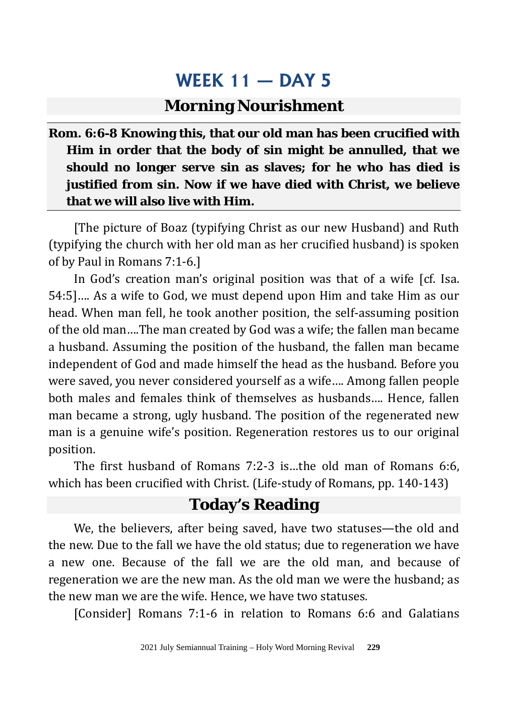#### **Morning Nourishment**

#### **Rom. 6:6-8 Knowing this, that our old man has been crucified with Him in order that the body of sin might be annulled, that we should no longer serve sin as slaves; for he who has died is justified from sin. Now if we have died with Christ, we believe that we will also live with Him.**

[The picture of Boaz (typifying Christ as our new Husband) and Ruth (typifying the church with her old man as her crucified husband) is spoken of by Paul in Romans 7:1-6.]

In God's creation man's original position was that of a wife [cf. Isa. 54:5]…. As a wife to God, we must depend upon Him and take Him as our head. When man fell, he took another position, the self-assuming position of the old man….The man created by God was a wife; the fallen man became a husband. Assuming the position of the husband, the fallen man became independent of God and made himself the head as the husband. Before you were saved, you never considered yourself as a wife…. Among fallen people both males and females think of themselves as husbands…. Hence, fallen man became a strong, ugly husband. The position of the regenerated new man is a genuine wife's position. Regeneration restores us to our original position.

The first husband of Romans 7:2-3 is…the old man of Romans 6:6, which has been crucified with Christ. (Life-study of Romans, pp. 140-143)

#### **Today's Reading**

We, the believers, after being saved, have two statuses—the old and the new. Due to the fall we have the old status; due to regeneration we have a new one. Because of the fall we are the old man, and because of regeneration we are the new man. As the old man we were the husband; as the new man we are the wife. Hence, we have two statuses.

[Consider] Romans 7:1-6 in relation to Romans 6:6 and Galatians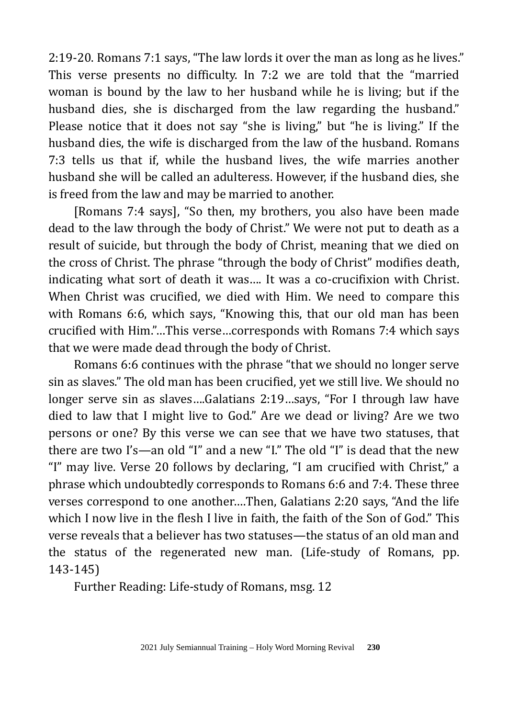2:19-20. Romans 7:1 says, "The law lords it over the man as long as he lives." This verse presents no difficulty. In 7:2 we are told that the "married woman is bound by the law to her husband while he is living; but if the husband dies, she is discharged from the law regarding the husband." Please notice that it does not say "she is living," but "he is living." If the husband dies, the wife is discharged from the law of the husband. Romans 7:3 tells us that if, while the husband lives, the wife marries another husband she will be called an adulteress. However, if the husband dies, she is freed from the law and may be married to another.

[Romans 7:4 says], "So then, my brothers, you also have been made dead to the law through the body of Christ." We were not put to death as a result of suicide, but through the body of Christ, meaning that we died on the cross of Christ. The phrase "through the body of Christ" modifies death, indicating what sort of death it was…. It was a co-crucifixion with Christ. When Christ was crucified, we died with Him. We need to compare this with Romans 6:6, which says, "Knowing this, that our old man has been crucified with Him."…This verse…corresponds with Romans 7:4 which says that we were made dead through the body of Christ.

Romans 6:6 continues with the phrase "that we should no longer serve sin as slaves." The old man has been crucified, yet we still live. We should no longer serve sin as slaves….Galatians 2:19…says, "For I through law have died to law that I might live to God." Are we dead or living? Are we two persons or one? By this verse we can see that we have two statuses, that there are two I's—an old "I" and a new "I." The old "I" is dead that the new "I" may live. Verse 20 follows by declaring, "I am crucified with Christ," a phrase which undoubtedly corresponds to Romans 6:6 and 7:4. These three verses correspond to one another….Then, Galatians 2:20 says, "And the life which I now live in the flesh I live in faith, the faith of the Son of God." This verse reveals that a believer has two statuses—the status of an old man and the status of the regenerated new man. (Life-study of Romans, pp. 143-145)

Further Reading: Life-study of Romans, msg. 12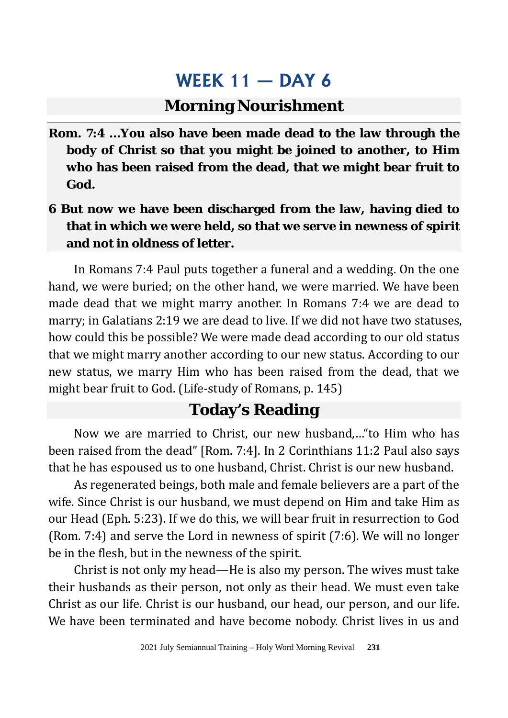#### **Morning Nourishment**

- **Rom. 7:4 …You also have been made dead to the law through the body of Christ so that you might be joined to another, to Him who has been raised from the dead, that we might bear fruit to God.**
- **6 But now we have been discharged from the law, having died to that in which we were held, so that we serve in newness of spirit and not in oldness of letter.**

In Romans 7:4 Paul puts together a funeral and a wedding. On the one hand, we were buried; on the other hand, we were married. We have been made dead that we might marry another. In Romans 7:4 we are dead to marry; in Galatians 2:19 we are dead to live. If we did not have two statuses, how could this be possible? We were made dead according to our old status that we might marry another according to our new status. According to our new status, we marry Him who has been raised from the dead, that we might bear fruit to God. (Life-study of Romans, p. 145)

#### **Today's Reading**

Now we are married to Christ, our new husband,…"to Him who has been raised from the dead" [Rom. 7:4]. In 2 Corinthians 11:2 Paul also says that he has espoused us to one husband, Christ. Christ is our new husband.

As regenerated beings, both male and female believers are a part of the wife. Since Christ is our husband, we must depend on Him and take Him as our Head (Eph. 5:23). If we do this, we will bear fruit in resurrection to God (Rom. 7:4) and serve the Lord in newness of spirit (7:6). We will no longer be in the flesh, but in the newness of the spirit.

Christ is not only my head—He is also my person. The wives must take their husbands as their person, not only as their head. We must even take Christ as our life. Christ is our husband, our head, our person, and our life. We have been terminated and have become nobody. Christ lives in us and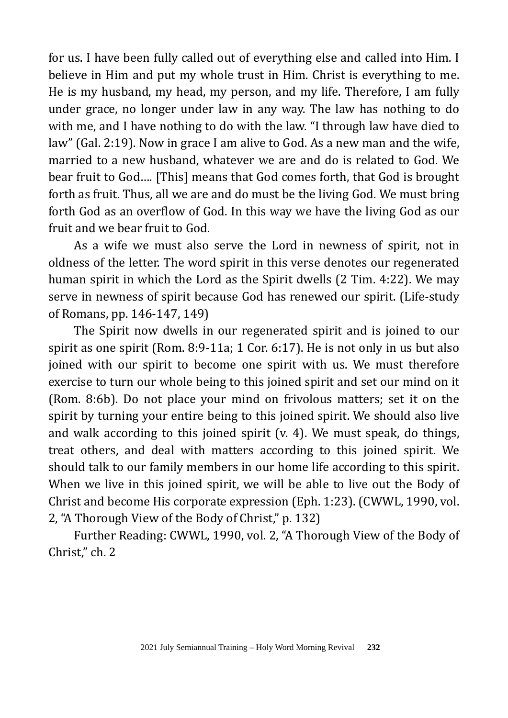for us. I have been fully called out of everything else and called into Him. I believe in Him and put my whole trust in Him. Christ is everything to me. He is my husband, my head, my person, and my life. Therefore, I am fully under grace, no longer under law in any way. The law has nothing to do with me, and I have nothing to do with the law. "I through law have died to law" (Gal. 2:19). Now in grace I am alive to God. As a new man and the wife, married to a new husband, whatever we are and do is related to God. We bear fruit to God…. [This] means that God comes forth, that God is brought forth as fruit. Thus, all we are and do must be the living God. We must bring forth God as an overflow of God. In this way we have the living God as our fruit and we bear fruit to God.

As a wife we must also serve the Lord in newness of spirit, not in oldness of the letter. The word spirit in this verse denotes our regenerated human spirit in which the Lord as the Spirit dwells (2 Tim. 4:22). We may serve in newness of spirit because God has renewed our spirit. (Life-study of Romans, pp. 146-147, 149)

The Spirit now dwells in our regenerated spirit and is joined to our spirit as one spirit (Rom. 8:9-11a; 1 Cor. 6:17). He is not only in us but also joined with our spirit to become one spirit with us. We must therefore exercise to turn our whole being to this joined spirit and set our mind on it (Rom. 8:6b). Do not place your mind on frivolous matters; set it on the spirit by turning your entire being to this joined spirit. We should also live and walk according to this joined spirit (v. 4). We must speak, do things, treat others, and deal with matters according to this joined spirit. We should talk to our family members in our home life according to this spirit. When we live in this joined spirit, we will be able to live out the Body of Christ and become His corporate expression (Eph. 1:23). (CWWL, 1990, vol. 2, "A Thorough View of the Body of Christ," p. 132)

Further Reading: CWWL, 1990, vol. 2, "A Thorough View of the Body of Christ," ch. 2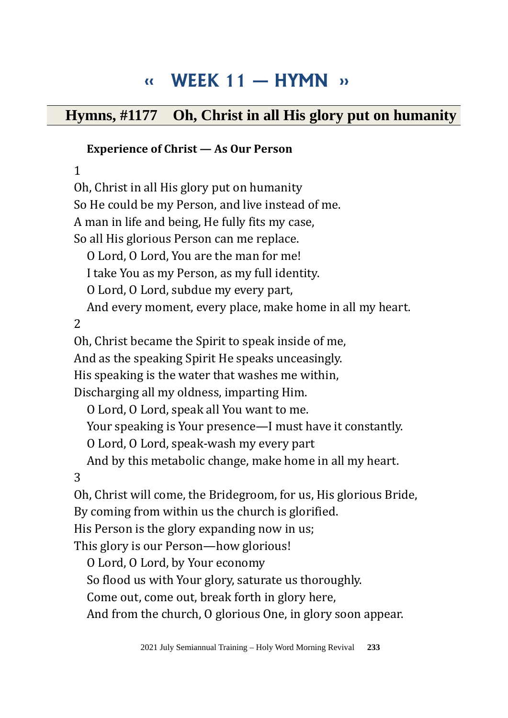# **‹‹ WEEK 11 — HYMN ››**

### **Hymns, #1177 Oh, Christ in all His glory put on humanity**

#### **Experience of Christ — As Our Person**

1

Oh, Christ in all His glory put on humanity So He could be my Person, and live instead of me. A man in life and being, He fully fits my case, So all His glorious Person can me replace. O Lord, O Lord, You are the man for me! I take You as my Person, as my full identity. O Lord, O Lord, subdue my every part, And every moment, every place, make home in all my heart. 2 Oh, Christ became the Spirit to speak inside of me, And as the speaking Spirit He speaks unceasingly. His speaking is the water that washes me within, Discharging all my oldness, imparting Him. O Lord, O Lord, speak all You want to me. Your speaking is Your presence—I must have it constantly. O Lord, O Lord, speak-wash my every part And by this metabolic change, make home in all my heart. 3 Oh, Christ will come, the Bridegroom, for us, His glorious Bride, By coming from within us the church is glorified. His Person is the glory expanding now in us; This glory is our Person—how glorious! O Lord, O Lord, by Your economy So flood us with Your glory, saturate us thoroughly. Come out, come out, break forth in glory here,

And from the church, O glorious One, in glory soon appear.